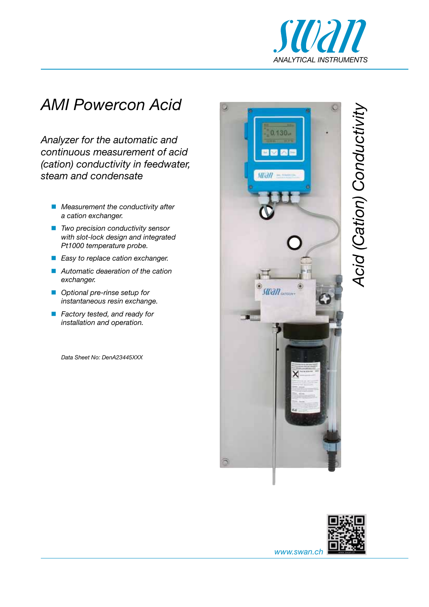

## *AMI Powercon Acid*

*Analyzer for the automatic and continuous measurement of acid (cation) conductivity in feedwater, steam and condensate*

- *Measurement the conductivity after a cation exchanger.*
- *Two precision conductivity sensor with slot-lock design and integrated Pt1000 temperature probe.*
- *Easy to replace cation exchanger.*
- *Automatic deaeration of the cation exchanger.*
- *Optional pre-rinse setup for instantaneous resin exchange.*
- *Factory tested, and ready for installation and operation.*

*Data Sheet No: DenA23445XXX*







*www.swan.ch*